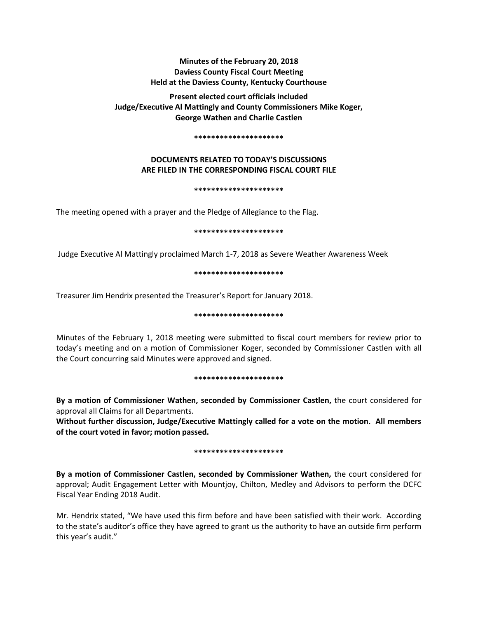# **Minutes of the February 20, 2018 Daviess County Fiscal Court Meeting Held at the Daviess County, Kentucky Courthouse**

**Present elected court officials included Judge/Executive Al Mattingly and County Commissioners Mike Koger, George Wathen and Charlie Castlen** 

#### **\*\*\*\*\*\*\*\*\*\*\*\*\*\*\*\*\*\*\*\*\***

# **DOCUMENTS RELATED TO TODAY'S DISCUSSIONS ARE FILED IN THE CORRESPONDING FISCAL COURT FILE**

#### **\*\*\*\*\*\*\*\*\*\*\*\*\*\*\*\*\*\*\*\*\***

The meeting opened with a prayer and the Pledge of Allegiance to the Flag.

#### **\*\*\*\*\*\*\*\*\*\*\*\*\*\*\*\*\*\*\*\*\***

Judge Executive Al Mattingly proclaimed March 1-7, 2018 as Severe Weather Awareness Week

### **\*\*\*\*\*\*\*\*\*\*\*\*\*\*\*\*\*\*\*\*\***

Treasurer Jim Hendrix presented the Treasurer's Report for January 2018.

### **\*\*\*\*\*\*\*\*\*\*\*\*\*\*\*\*\*\*\*\*\***

Minutes of the February 1, 2018 meeting were submitted to fiscal court members for review prior to today's meeting and on a motion of Commissioner Koger, seconded by Commissioner Castlen with all the Court concurring said Minutes were approved and signed.

### **\*\*\*\*\*\*\*\*\*\*\*\*\*\*\*\*\*\*\*\*\***

**By a motion of Commissioner Wathen, seconded by Commissioner Castlen,** the court considered for approval all Claims for all Departments.

**Without further discussion, Judge/Executive Mattingly called for a vote on the motion. All members of the court voted in favor; motion passed.** 

### **\*\*\*\*\*\*\*\*\*\*\*\*\*\*\*\*\*\*\*\*\***

**By a motion of Commissioner Castlen, seconded by Commissioner Wathen,** the court considered for approval; Audit Engagement Letter with Mountjoy, Chilton, Medley and Advisors to perform the DCFC Fiscal Year Ending 2018 Audit.

Mr. Hendrix stated, "We have used this firm before and have been satisfied with their work. According to the state's auditor's office they have agreed to grant us the authority to have an outside firm perform this year's audit."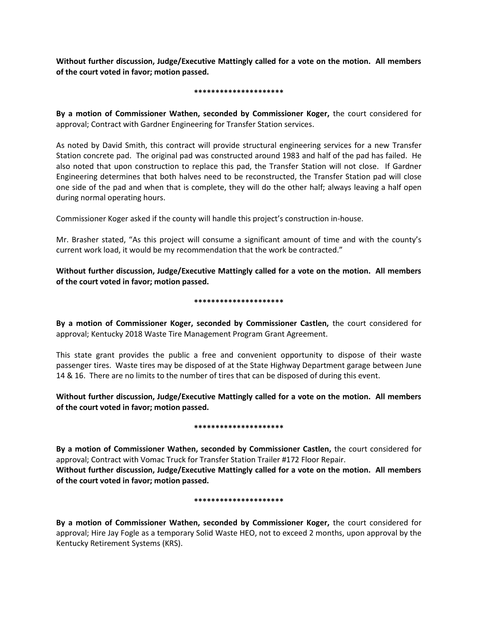**Without further discussion, Judge/Executive Mattingly called for a vote on the motion. All members of the court voted in favor; motion passed.** 

### **\*\*\*\*\*\*\*\*\*\*\*\*\*\*\*\*\*\*\*\*\***

**By a motion of Commissioner Wathen, seconded by Commissioner Koger,** the court considered for approval; Contract with Gardner Engineering for Transfer Station services.

As noted by David Smith, this contract will provide structural engineering services for a new Transfer Station concrete pad. The original pad was constructed around 1983 and half of the pad has failed. He also noted that upon construction to replace this pad, the Transfer Station will not close. If Gardner Engineering determines that both halves need to be reconstructed, the Transfer Station pad will close one side of the pad and when that is complete, they will do the other half; always leaving a half open during normal operating hours.

Commissioner Koger asked if the county will handle this project's construction in-house.

Mr. Brasher stated, "As this project will consume a significant amount of time and with the county's current work load, it would be my recommendation that the work be contracted."

**Without further discussion, Judge/Executive Mattingly called for a vote on the motion. All members of the court voted in favor; motion passed.** 

## **\*\*\*\*\*\*\*\*\*\*\*\*\*\*\*\*\*\*\*\*\***

**By a motion of Commissioner Koger, seconded by Commissioner Castlen,** the court considered for approval; Kentucky 2018 Waste Tire Management Program Grant Agreement.

This state grant provides the public a free and convenient opportunity to dispose of their waste passenger tires. Waste tires may be disposed of at the State Highway Department garage between June 14 & 16. There are no limits to the number of tires that can be disposed of during this event.

**Without further discussion, Judge/Executive Mattingly called for a vote on the motion. All members of the court voted in favor; motion passed.** 

## **\*\*\*\*\*\*\*\*\*\*\*\*\*\*\*\*\*\*\*\*\***

**By a motion of Commissioner Wathen, seconded by Commissioner Castlen,** the court considered for approval; Contract with Vomac Truck for Transfer Station Trailer #172 Floor Repair. **Without further discussion, Judge/Executive Mattingly called for a vote on the motion. All members of the court voted in favor; motion passed.** 

## **\*\*\*\*\*\*\*\*\*\*\*\*\*\*\*\*\*\*\*\*\***

**By a motion of Commissioner Wathen, seconded by Commissioner Koger,** the court considered for approval; Hire Jay Fogle as a temporary Solid Waste HEO, not to exceed 2 months, upon approval by the Kentucky Retirement Systems (KRS).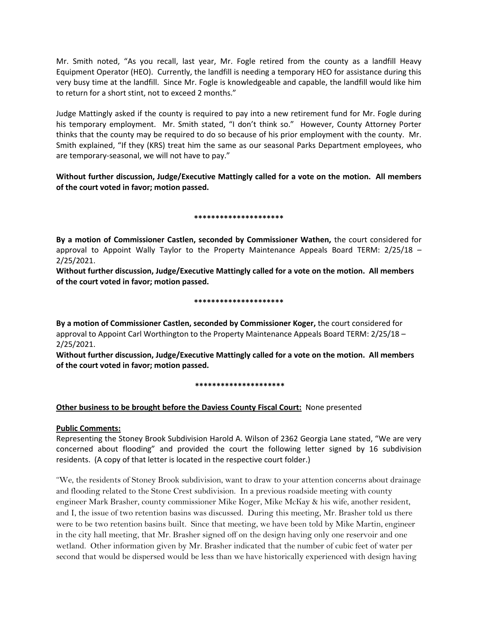Mr. Smith noted, "As you recall, last year, Mr. Fogle retired from the county as a landfill Heavy Equipment Operator (HEO). Currently, the landfill is needing a temporary HEO for assistance during this very busy time at the landfill. Since Mr. Fogle is knowledgeable and capable, the landfill would like him to return for a short stint, not to exceed 2 months."

Judge Mattingly asked if the county is required to pay into a new retirement fund for Mr. Fogle during his temporary employment. Mr. Smith stated, "I don't think so." However, County Attorney Porter thinks that the county may be required to do so because of his prior employment with the county. Mr. Smith explained, "If they (KRS) treat him the same as our seasonal Parks Department employees, who are temporary-seasonal, we will not have to pay."

**Without further discussion, Judge/Executive Mattingly called for a vote on the motion. All members of the court voted in favor; motion passed.** 

## **\*\*\*\*\*\*\*\*\*\*\*\*\*\*\*\*\*\*\*\*\***

**By a motion of Commissioner Castlen, seconded by Commissioner Wathen,** the court considered for approval to Appoint Wally Taylor to the Property Maintenance Appeals Board TERM: 2/25/18 – 2/25/2021.

**Without further discussion, Judge/Executive Mattingly called for a vote on the motion. All members of the court voted in favor; motion passed.** 

### **\*\*\*\*\*\*\*\*\*\*\*\*\*\*\*\*\*\*\*\*\***

**By a motion of Commissioner Castlen, seconded by Commissioner Koger,** the court considered for approval to Appoint Carl Worthington to the Property Maintenance Appeals Board TERM: 2/25/18 – 2/25/2021.

**Without further discussion, Judge/Executive Mattingly called for a vote on the motion. All members of the court voted in favor; motion passed.** 

## **\*\*\*\*\*\*\*\*\*\*\*\*\*\*\*\*\*\*\*\*\***

# **Other business to be brought before the Daviess County Fiscal Court:** None presented

## **Public Comments:**

Representing the Stoney Brook Subdivision Harold A. Wilson of 2362 Georgia Lane stated, "We are very concerned about flooding" and provided the court the following letter signed by 16 subdivision residents. (A copy of that letter is located in the respective court folder.)

"We, the residents of Stoney Brook subdivision, want to draw to your attention concerns about drainage and flooding related to the Stone Crest subdivision. In a previous roadside meeting with county engineer Mark Brasher, county commissioner Mike Koger, Mike McKay & his wife, another resident, and I, the issue of two retention basins was discussed. During this meeting, Mr. Brasher told us there were to be two retention basins built. Since that meeting, we have been told by Mike Martin, engineer in the city hall meeting, that Mr. Brasher signed off on the design having only one reservoir and one wetland. Other information given by Mr. Brasher indicated that the number of cubic feet of water per second that would be dispersed would be less than we have historically experienced with design having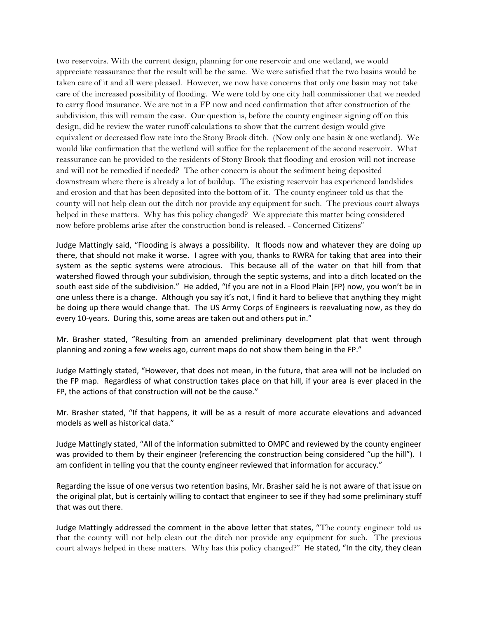two reservoirs. With the current design, planning for one reservoir and one wetland, we would appreciate reassurance that the result will be the same. We were satisfied that the two basins would be taken care of it and all were pleased. However, we now have concerns that only one basin may not take care of the increased possibility of flooding. We were told by one city hall commissioner that we needed to carry flood insurance. We are not in a FP now and need confirmation that after construction of the subdivision, this will remain the case. Our question is, before the county engineer signing off on this design, did he review the water runoff calculations to show that the current design would give equivalent or decreased flow rate into the Stony Brook ditch. (Now only one basin & one wetland). We would like confirmation that the wetland will suffice for the replacement of the second reservoir. What reassurance can be provided to the residents of Stony Brook that flooding and erosion will not increase and will not be remedied if needed? The other concern is about the sediment being deposited downstream where there is already a lot of buildup. The existing reservoir has experienced landslides and erosion and that has been deposited into the bottom of it. The county engineer told us that the county will not help clean out the ditch nor provide any equipment for such. The previous court always helped in these matters. Why has this policy changed? We appreciate this matter being considered now before problems arise after the construction bond is released. - Concerned Citizens"

Judge Mattingly said, "Flooding is always a possibility. It floods now and whatever they are doing up there, that should not make it worse. I agree with you, thanks to RWRA for taking that area into their system as the septic systems were atrocious. This because all of the water on that hill from that watershed flowed through your subdivision, through the septic systems, and into a ditch located on the south east side of the subdivision." He added, "If you are not in a Flood Plain (FP) now, you won't be in one unless there is a change. Although you say it's not, I find it hard to believe that anything they might be doing up there would change that. The US Army Corps of Engineers is reevaluating now, as they do every 10-years. During this, some areas are taken out and others put in."

Mr. Brasher stated, "Resulting from an amended preliminary development plat that went through planning and zoning a few weeks ago, current maps do not show them being in the FP."

Judge Mattingly stated, "However, that does not mean, in the future, that area will not be included on the FP map. Regardless of what construction takes place on that hill, if your area is ever placed in the FP, the actions of that construction will not be the cause."

Mr. Brasher stated, "If that happens, it will be as a result of more accurate elevations and advanced models as well as historical data."

Judge Mattingly stated, "All of the information submitted to OMPC and reviewed by the county engineer was provided to them by their engineer (referencing the construction being considered "up the hill"). I am confident in telling you that the county engineer reviewed that information for accuracy."

Regarding the issue of one versus two retention basins, Mr. Brasher said he is not aware of that issue on the original plat, but is certainly willing to contact that engineer to see if they had some preliminary stuff that was out there.

Judge Mattingly addressed the comment in the above letter that states, "The county engineer told us that the county will not help clean out the ditch nor provide any equipment for such. The previous court always helped in these matters. Why has this policy changed?" He stated, "In the city, they clean